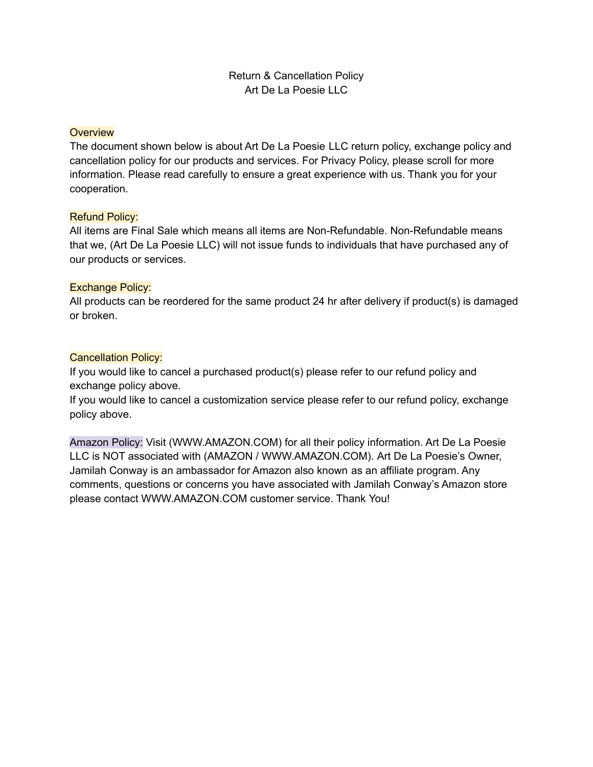## Return & Cancellation Policy Art De La Poesie LLC

### **Overview**

The document shown below is about Art De La Poesie LLC return policy, exchange policy and cancellation policy for our products and services. For Privacy Policy, please scroll for more information. Please read carefully to ensure a great experience with us. Thank you for your cooperation.

#### Refund Policy:

All items are Final Sale which means all items are Non-Refundable. Non-Refundable means that we, (Art De La Poesie LLC) will not issue funds to individuals that have purchased any of our products or services.

#### Exchange Policy:

All products can be reordered for the same product 24 hr after delivery if product(s) is damaged or broken.

#### Cancellation Policy:

If you would like to cancel a purchased product(s) please refer to our refund policy and exchange policy above.

If you would like to cancel a customization service please refer to our refund policy, exchange policy above.

Amazon Policy: Visit (WWW.AMAZON.COM) for all their policy information. Art De La Poesie LLC is NOT associated with (AMAZON / WWW.AMAZON.COM). Art De La Poesie's Owner, Jamilah Conway is an ambassador for Amazon also known as an affiliate program. Any comments, questions or concerns you have associated with Jamilah Conway's Amazon store please contact WWW.AMAZON.COM customer service. Thank You!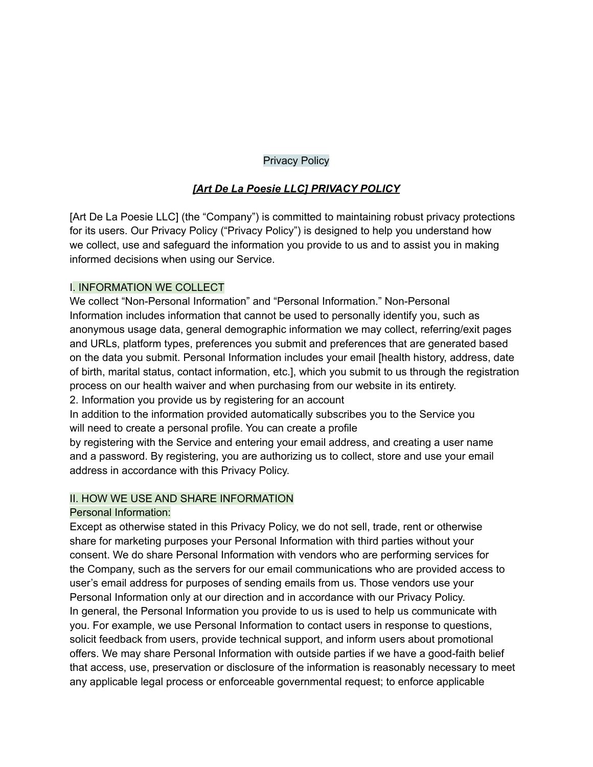### Privacy Policy

## *[Art De La Poesie LLC] PRIVACY POLICY*

[Art De La Poesie LLC] (the "Company") is committed to maintaining robust privacy protections for its users. Our Privacy Policy ("Privacy Policy") is designed to help you understand how we collect, use and safeguard the information you provide to us and to assist you in making informed decisions when using our Service.

#### I. INFORMATION WE COLLECT

We collect "Non-Personal Information" and "Personal Information." Non-Personal Information includes information that cannot be used to personally identify you, such as anonymous usage data, general demographic information we may collect, referring/exit pages and URLs, platform types, preferences you submit and preferences that are generated based on the data you submit. Personal Information includes your email [health history, address, date of birth, marital status, contact information, etc.], which you submit to us through the registration process on our health waiver and when purchasing from our website in its entirety.

2. Information you provide us by registering for an account

In addition to the information provided automatically subscribes you to the Service you will need to create a personal profile. You can create a profile

by registering with the Service and entering your email address, and creating a user name and a password. By registering, you are authorizing us to collect, store and use your email address in accordance with this Privacy Policy.

### II. HOW WE USE AND SHARE INFORMATION

### Personal Information:

Except as otherwise stated in this Privacy Policy, we do not sell, trade, rent or otherwise share for marketing purposes your Personal Information with third parties without your consent. We do share Personal Information with vendors who are performing services for the Company, such as the servers for our email communications who are provided access to user's email address for purposes of sending emails from us. Those vendors use your Personal Information only at our direction and in accordance with our Privacy Policy. In general, the Personal Information you provide to us is used to help us communicate with you. For example, we use Personal Information to contact users in response to questions, solicit feedback from users, provide technical support, and inform users about promotional offers. We may share Personal Information with outside parties if we have a good-faith belief that access, use, preservation or disclosure of the information is reasonably necessary to meet any applicable legal process or enforceable governmental request; to enforce applicable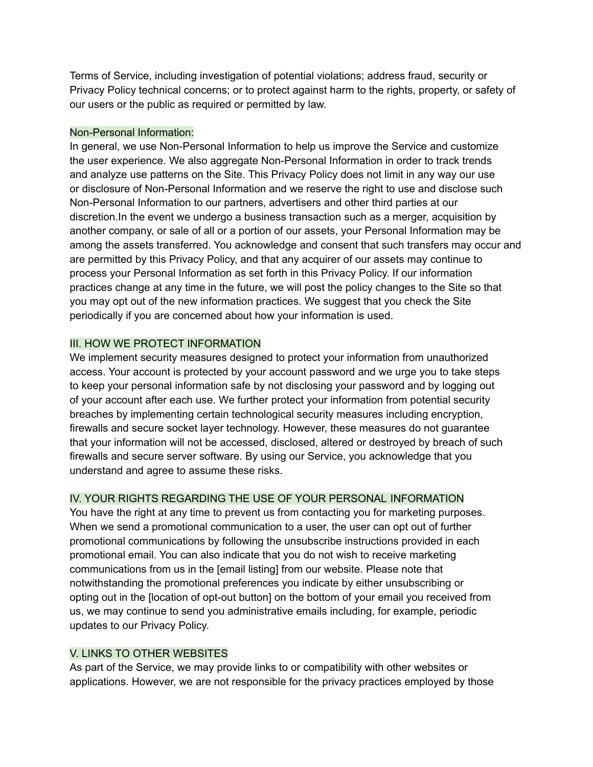Terms of Service, including investigation of potential violations; address fraud, security or Privacy Policy technical concerns; or to protect against harm to the rights, property, or safety of our users or the public as required or permitted by law.

### Non-Personal Information:

In general, we use Non-Personal Information to help us improve the Service and customize the user experience. We also aggregate Non-Personal Information in order to track trends and analyze use patterns on the Site. This Privacy Policy does not limit in any way our use or disclosure of Non-Personal Information and we reserve the right to use and disclose such Non-Personal Information to our partners, advertisers and other third parties at our discretion.In the event we undergo a business transaction such as a merger, acquisition by another company, or sale of all or a portion of our assets, your Personal Information may be among the assets transferred. You acknowledge and consent that such transfers may occur and are permitted by this Privacy Policy, and that any acquirer of our assets may continue to process your Personal Information as set forth in this Privacy Policy. If our information practices change at any time in the future, we will post the policy changes to the Site so that you may opt out of the new information practices. We suggest that you check the Site periodically if you are concerned about how your information is used.

# III. HOW WE PROTECT INFORMATION

We implement security measures designed to protect your information from unauthorized access. Your account is protected by your account password and we urge you to take steps to keep your personal information safe by not disclosing your password and by logging out of your account after each use. We further protect your information from potential security breaches by implementing certain technological security measures including encryption, firewalls and secure socket layer technology. However, these measures do not guarantee that your information will not be accessed, disclosed, altered or destroyed by breach of such firewalls and secure server software. By using our Service, you acknowledge that you understand and agree to assume these risks.

# IV. YOUR RIGHTS REGARDING THE USE OF YOUR PERSONAL INFORMATION

You have the right at any time to prevent us from contacting you for marketing purposes. When we send a promotional communication to a user, the user can opt out of further promotional communications by following the unsubscribe instructions provided in each promotional email. You can also indicate that you do not wish to receive marketing communications from us in the [email listing] from our website. Please note that notwithstanding the promotional preferences you indicate by either unsubscribing or opting out in the [location of opt-out button] on the bottom of your email you received from us, we may continue to send you administrative emails including, for example, periodic updates to our Privacy Policy.

# V. LINKS TO OTHER WEBSITES

As part of the Service, we may provide links to or compatibility with other websites or applications. However, we are not responsible for the privacy practices employed by those